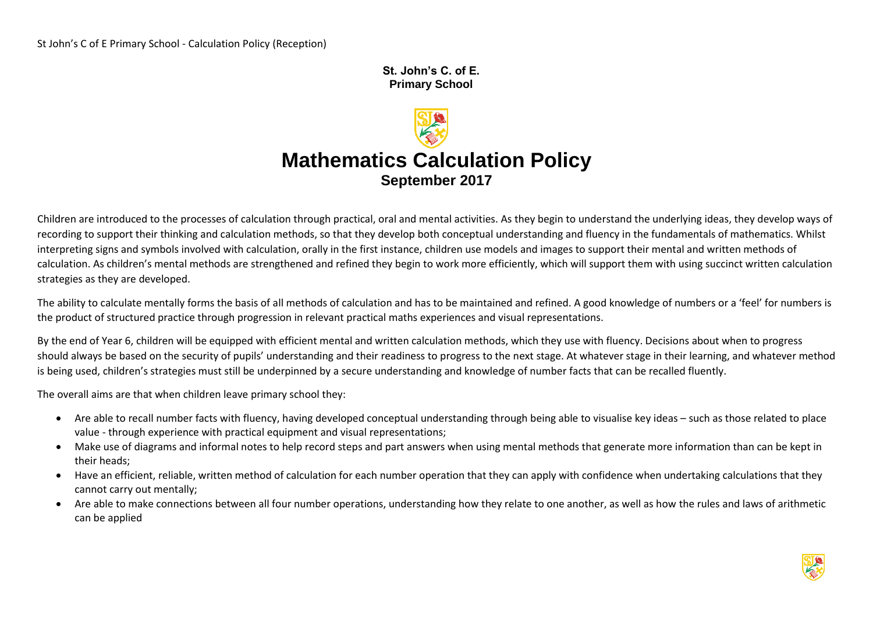**St. John's C. of E. Primary School** 

# **Mathematics Calculation Policy September 2017**

Children are introduced to the processes of calculation through practical, oral and mental activities. As they begin to understand the underlying ideas, they develop ways of recording to support their thinking and calculation methods, so that they develop both conceptual understanding and fluency in the fundamentals of mathematics. Whilst interpreting signs and symbols involved with calculation, orally in the first instance, children use models and images to support their mental and written methods of calculation. As children's mental methods are strengthened and refined they begin to work more efficiently, which will support them with using succinct written calculation strategies as they are developed.

The ability to calculate mentally forms the basis of all methods of calculation and has to be maintained and refined. A good knowledge of numbers or a 'feel' for numbers is the product of structured practice through progression in relevant practical maths experiences and visual representations.

By the end of Year 6, children will be equipped with efficient mental and written calculation methods, which they use with fluency. Decisions about when to progress should always be based on the security of pupils' understanding and their readiness to progress to the next stage. At whatever stage in their learning, and whatever method is being used, children's strategies must still be underpinned by a secure understanding and knowledge of number facts that can be recalled fluently.

The overall aims are that when children leave primary school they:

- Are able to recall number facts with fluency, having developed conceptual understanding through being able to visualise key ideas such as those related to place value - through experience with practical equipment and visual representations;
- Make use of diagrams and informal notes to help record steps and part answers when using mental methods that generate more information than can be kept in their heads;
- Have an efficient, reliable, written method of calculation for each number operation that they can apply with confidence when undertaking calculations that they cannot carry out mentally;
- Are able to make connections between all four number operations, understanding how they relate to one another, as well as how the rules and laws of arithmetic can be applied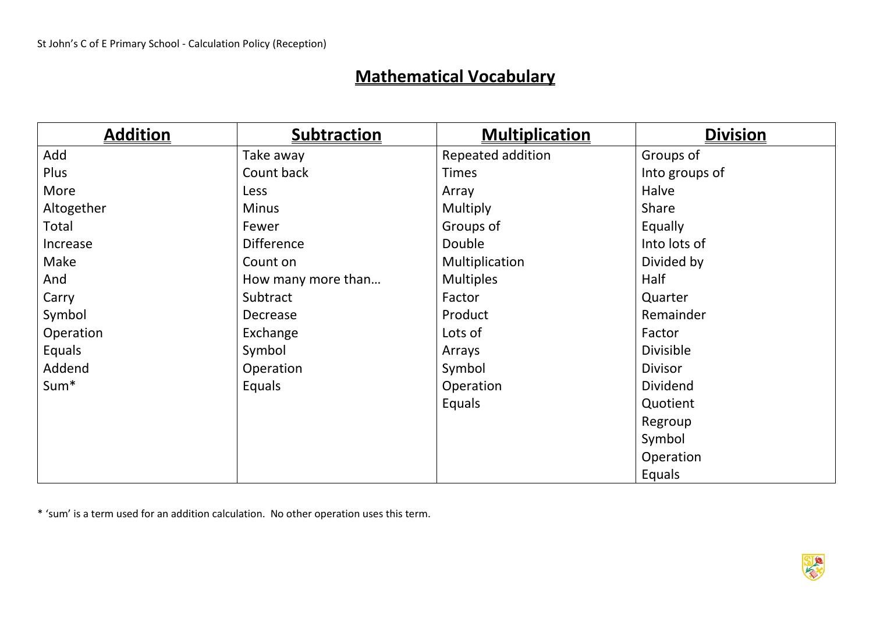# **Mathematical Vocabulary**

| <b>Addition</b>  | <b>Subtraction</b> | <b>Multiplication</b> | <b>Division</b> |
|------------------|--------------------|-----------------------|-----------------|
| Add              | Take away          | Repeated addition     | Groups of       |
| Plus             | Count back         | <b>Times</b>          | Into groups of  |
| More             | Less               | Array                 | Halve           |
| Altogether       | <b>Minus</b>       | Multiply              | Share           |
| Total            | Fewer              | Groups of             | Equally         |
| Increase         | <b>Difference</b>  | Double                | Into lots of    |
| Make             | Count on           | Multiplication        | Divided by      |
| And              | How many more than | <b>Multiples</b>      | Half            |
| Carry            | Subtract           | Factor                | Quarter         |
| Symbol           | Decrease           | Product               | Remainder       |
| Operation        | Exchange           | Lots of               | Factor          |
| Equals           | Symbol             | Arrays                | Divisible       |
| Addend           | Operation          | Symbol                | <b>Divisor</b>  |
| Sum <sup>*</sup> | Equals             | Operation             | <b>Dividend</b> |
|                  |                    | Equals                | Quotient        |
|                  |                    |                       | Regroup         |
|                  |                    |                       | Symbol          |
|                  |                    |                       | Operation       |
|                  |                    |                       | Equals          |

\* 'sum' is a term used for an addition calculation. No other operation uses this term.

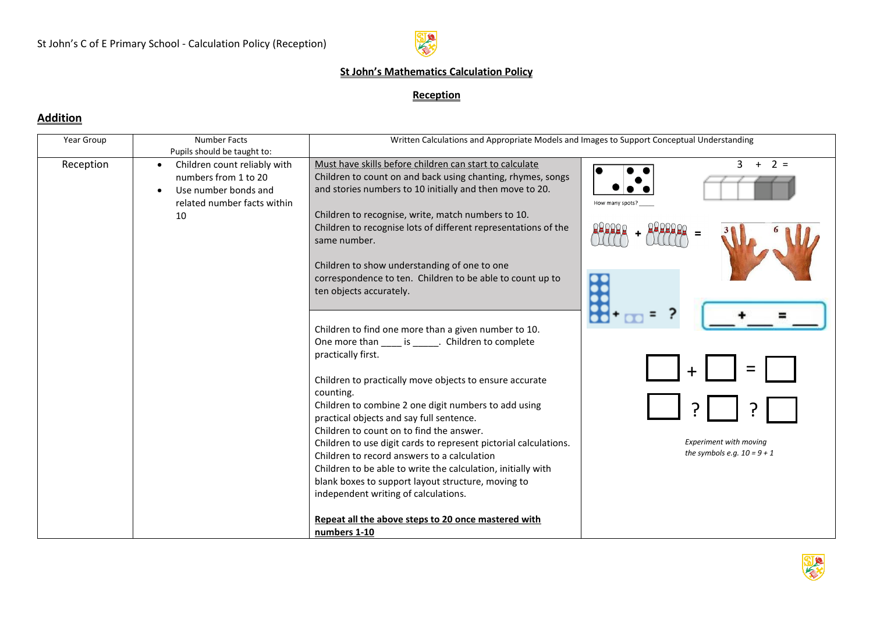

#### **St John's Mathematics Calculation Policy**

#### **Reception**

#### **Addition**

| Pupils should be taught to:<br>Must have skills before children can start to calculate<br>$3 + 2 =$<br>Reception<br>Children count reliably with<br>$\bullet$<br>Children to count on and back using chanting, rhymes, songs<br>numbers from 1 to 20<br>and stories numbers to 10 initially and then move to 20.<br>Use number bonds and<br>related number facts within<br>How many spots?<br>Children to recognise, write, match numbers to 10.<br>10<br>Children to recognise lots of different representations of the<br>same number.<br>Children to show understanding of one to one<br>correspondence to ten. Children to be able to count up to<br>ten objects accurately.<br>Children to find one more than a given number to 10.<br>One more than is . Children to complete<br>practically first.<br>Children to practically move objects to ensure accurate<br>counting. |  |
|-----------------------------------------------------------------------------------------------------------------------------------------------------------------------------------------------------------------------------------------------------------------------------------------------------------------------------------------------------------------------------------------------------------------------------------------------------------------------------------------------------------------------------------------------------------------------------------------------------------------------------------------------------------------------------------------------------------------------------------------------------------------------------------------------------------------------------------------------------------------------------------|--|
|                                                                                                                                                                                                                                                                                                                                                                                                                                                                                                                                                                                                                                                                                                                                                                                                                                                                                   |  |
|                                                                                                                                                                                                                                                                                                                                                                                                                                                                                                                                                                                                                                                                                                                                                                                                                                                                                   |  |
|                                                                                                                                                                                                                                                                                                                                                                                                                                                                                                                                                                                                                                                                                                                                                                                                                                                                                   |  |
|                                                                                                                                                                                                                                                                                                                                                                                                                                                                                                                                                                                                                                                                                                                                                                                                                                                                                   |  |
|                                                                                                                                                                                                                                                                                                                                                                                                                                                                                                                                                                                                                                                                                                                                                                                                                                                                                   |  |
|                                                                                                                                                                                                                                                                                                                                                                                                                                                                                                                                                                                                                                                                                                                                                                                                                                                                                   |  |
|                                                                                                                                                                                                                                                                                                                                                                                                                                                                                                                                                                                                                                                                                                                                                                                                                                                                                   |  |
|                                                                                                                                                                                                                                                                                                                                                                                                                                                                                                                                                                                                                                                                                                                                                                                                                                                                                   |  |
|                                                                                                                                                                                                                                                                                                                                                                                                                                                                                                                                                                                                                                                                                                                                                                                                                                                                                   |  |
|                                                                                                                                                                                                                                                                                                                                                                                                                                                                                                                                                                                                                                                                                                                                                                                                                                                                                   |  |
|                                                                                                                                                                                                                                                                                                                                                                                                                                                                                                                                                                                                                                                                                                                                                                                                                                                                                   |  |
|                                                                                                                                                                                                                                                                                                                                                                                                                                                                                                                                                                                                                                                                                                                                                                                                                                                                                   |  |
|                                                                                                                                                                                                                                                                                                                                                                                                                                                                                                                                                                                                                                                                                                                                                                                                                                                                                   |  |
|                                                                                                                                                                                                                                                                                                                                                                                                                                                                                                                                                                                                                                                                                                                                                                                                                                                                                   |  |
|                                                                                                                                                                                                                                                                                                                                                                                                                                                                                                                                                                                                                                                                                                                                                                                                                                                                                   |  |
|                                                                                                                                                                                                                                                                                                                                                                                                                                                                                                                                                                                                                                                                                                                                                                                                                                                                                   |  |
|                                                                                                                                                                                                                                                                                                                                                                                                                                                                                                                                                                                                                                                                                                                                                                                                                                                                                   |  |
|                                                                                                                                                                                                                                                                                                                                                                                                                                                                                                                                                                                                                                                                                                                                                                                                                                                                                   |  |
|                                                                                                                                                                                                                                                                                                                                                                                                                                                                                                                                                                                                                                                                                                                                                                                                                                                                                   |  |
| Children to combine 2 one digit numbers to add using                                                                                                                                                                                                                                                                                                                                                                                                                                                                                                                                                                                                                                                                                                                                                                                                                              |  |
| practical objects and say full sentence.                                                                                                                                                                                                                                                                                                                                                                                                                                                                                                                                                                                                                                                                                                                                                                                                                                          |  |
| Children to count on to find the answer.                                                                                                                                                                                                                                                                                                                                                                                                                                                                                                                                                                                                                                                                                                                                                                                                                                          |  |
| <b>Experiment with moving</b><br>Children to use digit cards to represent pictorial calculations.                                                                                                                                                                                                                                                                                                                                                                                                                                                                                                                                                                                                                                                                                                                                                                                 |  |
| the symbols e.g. $10 = 9 + 1$<br>Children to record answers to a calculation                                                                                                                                                                                                                                                                                                                                                                                                                                                                                                                                                                                                                                                                                                                                                                                                      |  |
| Children to be able to write the calculation, initially with                                                                                                                                                                                                                                                                                                                                                                                                                                                                                                                                                                                                                                                                                                                                                                                                                      |  |
| blank boxes to support layout structure, moving to                                                                                                                                                                                                                                                                                                                                                                                                                                                                                                                                                                                                                                                                                                                                                                                                                                |  |
| independent writing of calculations.                                                                                                                                                                                                                                                                                                                                                                                                                                                                                                                                                                                                                                                                                                                                                                                                                                              |  |
|                                                                                                                                                                                                                                                                                                                                                                                                                                                                                                                                                                                                                                                                                                                                                                                                                                                                                   |  |
| Repeat all the above steps to 20 once mastered with                                                                                                                                                                                                                                                                                                                                                                                                                                                                                                                                                                                                                                                                                                                                                                                                                               |  |
| numbers 1-10                                                                                                                                                                                                                                                                                                                                                                                                                                                                                                                                                                                                                                                                                                                                                                                                                                                                      |  |

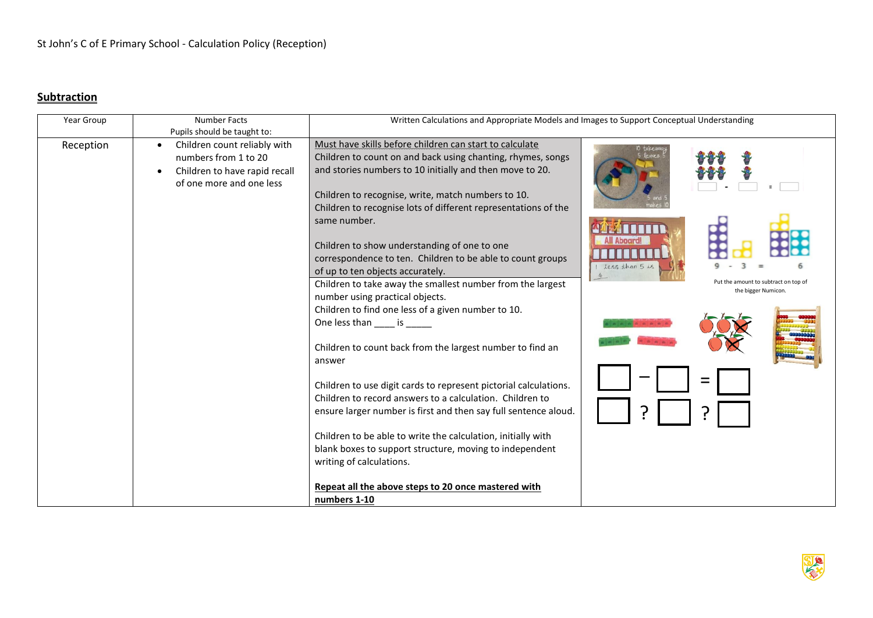## **Subtraction**

| Year Group | <b>Number Facts</b>                       | Written Calculations and Appropriate Models and Images to Support Conceptual Understanding |                              |
|------------|-------------------------------------------|--------------------------------------------------------------------------------------------|------------------------------|
|            | Pupils should be taught to:               |                                                                                            |                              |
| Reception  | Children count reliably with<br>$\bullet$ | Must have skills before children can start to calculate                                    | ) takeawa                    |
|            | numbers from 1 to 20                      | Children to count on and back using chanting, rhymes, songs                                |                              |
|            | Children to have rapid recall             | and stories numbers to 10 initially and then move to 20.                                   |                              |
|            | of one more and one less                  |                                                                                            |                              |
|            |                                           | Children to recognise, write, match numbers to 10.                                         |                              |
|            |                                           | Children to recognise lots of different representations of the                             |                              |
|            |                                           | same number.                                                                               |                              |
|            |                                           |                                                                                            |                              |
|            |                                           | Children to show understanding of one to one                                               |                              |
|            |                                           | correspondence to ten. Children to be able to count groups                                 |                              |
|            |                                           | of up to ten objects accurately.                                                           | 1 less than 5 is<br>4        |
|            |                                           | Children to take away the smallest number from the largest                                 | amount to subtract on top of |
|            |                                           | number using practical objects.                                                            | the bigger Numicon.          |
|            |                                           | Children to find one less of a given number to 10.                                         |                              |
|            |                                           | One less than is                                                                           |                              |
|            |                                           |                                                                                            |                              |
|            |                                           | Children to count back from the largest number to find an                                  |                              |
|            |                                           | answer                                                                                     |                              |
|            |                                           |                                                                                            |                              |
|            |                                           | Children to use digit cards to represent pictorial calculations.                           |                              |
|            |                                           | Children to record answers to a calculation. Children to                                   |                              |
|            |                                           | ensure larger number is first and then say full sentence aloud.                            |                              |
|            |                                           |                                                                                            |                              |
|            |                                           | Children to be able to write the calculation, initially with                               |                              |
|            |                                           | blank boxes to support structure, moving to independent                                    |                              |
|            |                                           | writing of calculations.                                                                   |                              |
|            |                                           |                                                                                            |                              |
|            |                                           | Repeat all the above steps to 20 once mastered with                                        |                              |
|            |                                           | numbers 1-10                                                                               |                              |